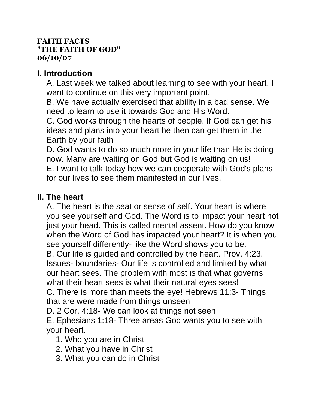#### **FAITH FACTS "THE FAITH OF GOD" 06/10/07**

### **I. Introduction**

A. Last week we talked about learning to see with your heart. I want to continue on this very important point.

B. We have actually exercised that ability in a bad sense. We need to learn to use it towards God and His Word.

C. God works through the hearts of people. If God can get his ideas and plans into your heart he then can get them in the Earth by your faith

D. God wants to do so much more in your life than He is doing now. Many are waiting on God but God is waiting on us! E. I want to talk today how we can cooperate with God's plans for our lives to see them manifested in our lives.

### **II. The heart**

A. The heart is the seat or sense of self. Your heart is where you see yourself and God. The Word is to impact your heart not just your head. This is called mental assent. How do you know when the Word of God has impacted your heart? It is when you see yourself differently- like the Word shows you to be. B. Our life is guided and controlled by the heart. Prov. 4:23. Issues- boundaries- Our life is controlled and limited by what our heart sees. The problem with most is that what governs what their heart sees is what their natural eyes sees! C. There is more than meets the eye! Hebrews 11:3- Things

that are were made from things unseen

D. 2 Cor. 4:18- We can look at things not seen

E. Ephesians 1:18- Three areas God wants you to see with your heart.

1. Who you are in Christ

- 2. What you have in Christ
- 3. What you can do in Christ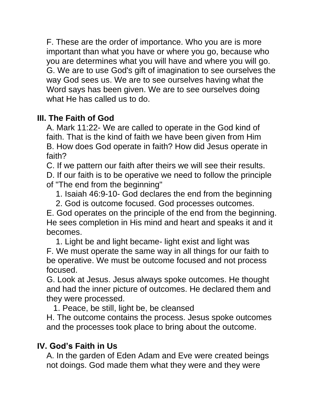F. These are the order of importance. Who you are is more important than what you have or where you go, because who you are determines what you will have and where you will go. G. We are to use God's gift of imagination to see ourselves the way God sees us. We are to see ourselves having what the Word says has been given. We are to see ourselves doing what He has called us to do.

# **III. The Faith of God**

A. Mark 11:22- We are called to operate in the God kind of faith. That is the kind of faith we have been given from Him B. How does God operate in faith? How did Jesus operate in faith?

C. If we pattern our faith after theirs we will see their results.

D. If our faith is to be operative we need to follow the principle of "The end from the beginning"

1. Isaiah 46:9-10- God declares the end from the beginning

2. God is outcome focused. God processes outcomes.

E. God operates on the principle of the end from the beginning. He sees completion in His mind and heart and speaks it and it becomes.

1. Light be and light became- light exist and light was F. We must operate the same way in all things for our faith to be operative. We must be outcome focused and not process focused.

G. Look at Jesus. Jesus always spoke outcomes. He thought and had the inner picture of outcomes. He declared them and they were processed.

1. Peace, be still, light be, be cleansed

H. The outcome contains the process. Jesus spoke outcomes and the processes took place to bring about the outcome.

## **IV. God's Faith in Us**

A. In the garden of Eden Adam and Eve were created beings not doings. God made them what they were and they were